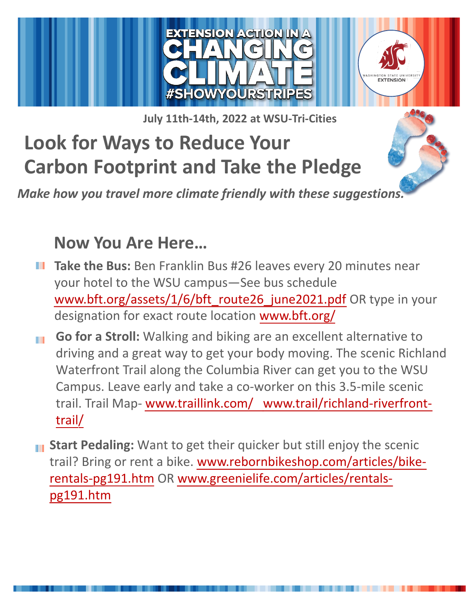

**July 11th-14th, 2022 at WSU-Tri-Cities**

# **Look for Ways to Reduce Your Carbon Footprint and Take the Pledge**

*Make how you travel more climate friendly with these suggestions.*

## **Now You Are Here…**

- **Take the Bus:** Ben Franklin Bus #26 leaves every 20 minutes near your hotel to the WSU campus—See bus schedule [www.bft.org/assets/1/6/bft\\_route26\\_june2021.pdf](http://www.bft.org/assets/1/6/bft_route26_june2021.pdf) [OR type in](https://wsu.co1.qualtrics.com/jfe/form/SV_40YxRSTpQEqW2s6) your designation for exact route location www.bft.org/
- **Go for a Stroll:** Walking and biking are an excellent alternative to **THE** driving and a great way to get your body moving. The scenic Richland Waterfront Trail along the Columbia River can get you to the WSU Campus. Leave early and take a co-worker on this 3.5-mile scenic trail. Trail Map- [www.traillink.com/](http://www.traillink.com/) [www.trail/rich](http://www.bft.org/)land-riverfronttrail/
- **III** Start Pedaling: Want to get their quicker but still enjoy the scenic trail? Bring or rent a bike. www.rebornbikeshop.com/articles/bikerentals-pg191.htm OR www.greenielife.com/articles/rentals[pg191.htm](http://www.trail/richland-riverfront-trail/)